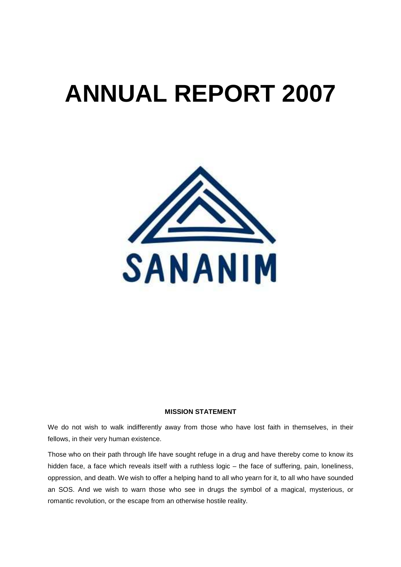# **ANNUAL REPORT 2007**



# **MISSION STATEMENT**

We do not wish to walk indifferently away from those who have lost faith in themselves, in their fellows, in their very human existence.

Those who on their path through life have sought refuge in a drug and have thereby come to know its hidden face, a face which reveals itself with a ruthless logic – the face of suffering, pain, loneliness, oppression, and death. We wish to offer a helping hand to all who yearn for it, to all who have sounded an SOS. And we wish to warn those who see in drugs the symbol of a magical, mysterious, or romantic revolution, or the escape from an otherwise hostile reality.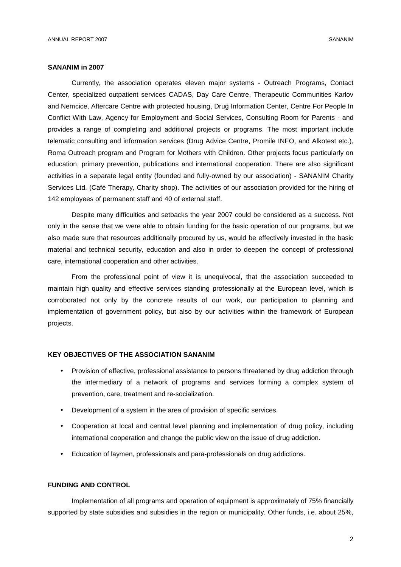#### **SANANIM in 2007**

Currently, the association operates eleven major systems - Outreach Programs, Contact Center, specialized outpatient services CADAS, Day Care Centre, Therapeutic Communities Karlov and Nemcice, Aftercare Centre with protected housing, Drug Information Center, Centre For People In Conflict With Law, Agency for Employment and Social Services, Consulting Room for Parents - and provides a range of completing and additional projects or programs. The most important include telematic consulting and information services (Drug Advice Centre, Promile INFO, and Alkotest etc.), Roma Outreach program and Program for Mothers with Children. Other projects focus particularly on education, primary prevention, publications and international cooperation. There are also significant activities in a separate legal entity (founded and fully-owned by our association) - SANANIM Charity Services Ltd. (Café Therapy, Charity shop). The activities of our association provided for the hiring of 142 employees of permanent staff and 40 of external staff.

Despite many difficulties and setbacks the year 2007 could be considered as a success. Not only in the sense that we were able to obtain funding for the basic operation of our programs, but we also made sure that resources additionally procured by us, would be effectively invested in the basic material and technical security, education and also in order to deepen the concept of professional care, international cooperation and other activities.

From the professional point of view it is unequivocal, that the association succeeded to maintain high quality and effective services standing professionally at the European level, which is corroborated not only by the concrete results of our work, our participation to planning and implementation of government policy, but also by our activities within the framework of European projects.

# **KEY OBJECTIVES OF THE ASSOCIATION SANANIM**

- Provision of effective, professional assistance to persons threatened by drug addiction through the intermediary of a network of programs and services forming a complex system of prevention, care, treatment and re-socialization.
- Development of a system in the area of provision of specific services.
- Cooperation at local and central level planning and implementation of drug policy, including international cooperation and change the public view on the issue of drug addiction.
- Education of laymen, professionals and para-professionals on drug addictions.

# **FUNDING AND CONTROL**

Implementation of all programs and operation of equipment is approximately of 75% financially supported by state subsidies and subsidies in the region or municipality. Other funds, i.e. about 25%,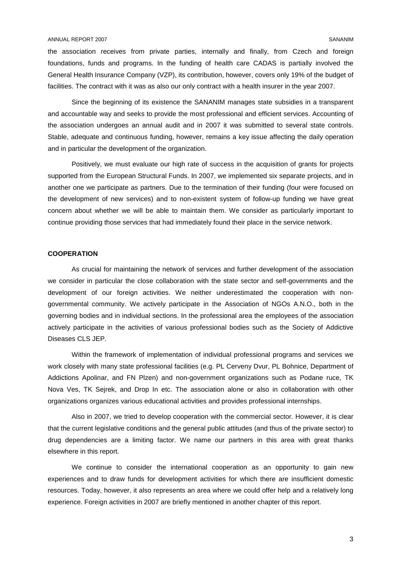the association receives from private parties, internally and finally, from Czech and foreign foundations, funds and programs. In the funding of health care CADAS is partially involved the General Health Insurance Company (VZP), its contribution, however, covers only 19% of the budget of facilities. The contract with it was as also our only contract with a health insurer in the year 2007.

Since the beginning of its existence the SANANIM manages state subsidies in a transparent and accountable way and seeks to provide the most professional and efficient services. Accounting of the association undergoes an annual audit and in 2007 it was submitted to several state controls. Stable, adequate and continuous funding, however, remains a key issue affecting the daily operation and in particular the development of the organization.

Positively, we must evaluate our high rate of success in the acquisition of grants for projects supported from the European Structural Funds. In 2007, we implemented six separate projects, and in another one we participate as partners. Due to the termination of their funding (four were focused on the development of new services) and to non-existent system of follow-up funding we have great concern about whether we will be able to maintain them. We consider as particularly important to continue providing those services that had immediately found their place in the service network.

# **COOPERATION**

As crucial for maintaining the network of services and further development of the association we consider in particular the close collaboration with the state sector and self-governments and the development of our foreign activities. We neither underestimated the cooperation with nongovernmental community. We actively participate in the Association of NGOs A.N.O., both in the governing bodies and in individual sections. In the professional area the employees of the association actively participate in the activities of various professional bodies such as the Society of Addictive Diseases CLS JEP.

Within the framework of implementation of individual professional programs and services we work closely with many state professional facilities (e.g. PL Cerveny Dvur, PL Bohnice, Department of Addictions Apolinar, and FN Plzen) and non-government organizations such as Podane ruce, TK Nova Ves, TK Sejrek, and Drop In etc. The association alone or also in collaboration with other organizations organizes various educational activities and provides professional internships.

Also in 2007, we tried to develop cooperation with the commercial sector. However, it is clear that the current legislative conditions and the general public attitudes (and thus of the private sector) to drug dependencies are a limiting factor. We name our partners in this area with great thanks elsewhere in this report.

We continue to consider the international cooperation as an opportunity to gain new experiences and to draw funds for development activities for which there are insufficient domestic resources. Today, however, it also represents an area where we could offer help and a relatively long experience. Foreign activities in 2007 are briefly mentioned in another chapter of this report.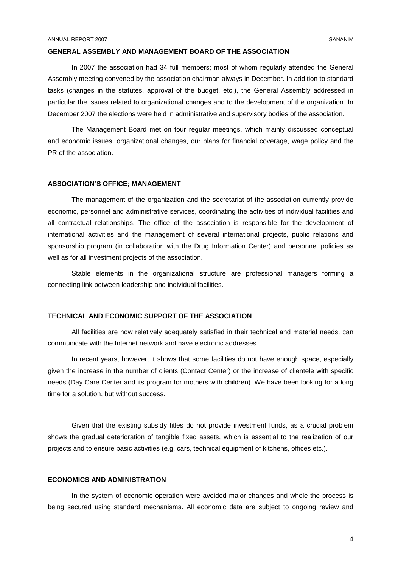#### **GENERAL ASSEMBLY AND MANAGEMENT BOARD OF THE ASSOCIATION**

In 2007 the association had 34 full members; most of whom regularly attended the General Assembly meeting convened by the association chairman always in December. In addition to standard tasks (changes in the statutes, approval of the budget, etc.), the General Assembly addressed in particular the issues related to organizational changes and to the development of the organization. In December 2007 the elections were held in administrative and supervisory bodies of the association.

The Management Board met on four regular meetings, which mainly discussed conceptual and economic issues, organizational changes, our plans for financial coverage, wage policy and the PR of the association.

# **ASSOCIATION'S OFFICE; MANAGEMENT**

The management of the organization and the secretariat of the association currently provide economic, personnel and administrative services, coordinating the activities of individual facilities and all contractual relationships. The office of the association is responsible for the development of international activities and the management of several international projects, public relations and sponsorship program (in collaboration with the Drug Information Center) and personnel policies as well as for all investment projects of the association.

Stable elements in the organizational structure are professional managers forming a connecting link between leadership and individual facilities.

# **TECHNICAL AND ECONOMIC SUPPORT OF THE ASSOCIATION**

All facilities are now relatively adequately satisfied in their technical and material needs, can communicate with the Internet network and have electronic addresses.

In recent years, however, it shows that some facilities do not have enough space, especially given the increase in the number of clients (Contact Center) or the increase of clientele with specific needs (Day Care Center and its program for mothers with children). We have been looking for a long time for a solution, but without success.

Given that the existing subsidy titles do not provide investment funds, as a crucial problem shows the gradual deterioration of tangible fixed assets, which is essential to the realization of our projects and to ensure basic activities (e.g. cars, technical equipment of kitchens, offices etc.).

#### **ECONOMICS AND ADMINISTRATION**

In the system of economic operation were avoided major changes and whole the process is being secured using standard mechanisms. All economic data are subject to ongoing review and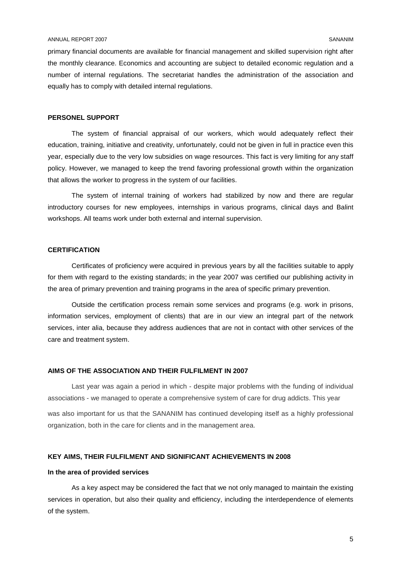#### ANNUAL REPORT 2007 SANANIM

primary financial documents are available for financial management and skilled supervision right after the monthly clearance. Economics and accounting are subject to detailed economic regulation and a number of internal regulations. The secretariat handles the administration of the association and equally has to comply with detailed internal regulations.

#### **PERSONEL SUPPORT**

The system of financial appraisal of our workers, which would adequately reflect their education, training, initiative and creativity, unfortunately, could not be given in full in practice even this year, especially due to the very low subsidies on wage resources. This fact is very limiting for any staff policy. However, we managed to keep the trend favoring professional growth within the organization that allows the worker to progress in the system of our facilities.

The system of internal training of workers had stabilized by now and there are regular introductory courses for new employees, internships in various programs, clinical days and Balint workshops. All teams work under both external and internal supervision.

# **CERTIFICATION**

Certificates of proficiency were acquired in previous years by all the facilities suitable to apply for them with regard to the existing standards; in the year 2007 was certified our publishing activity in the area of primary prevention and training programs in the area of specific primary prevention.

Outside the certification process remain some services and programs (e.g. work in prisons, information services, employment of clients) that are in our view an integral part of the network services, inter alia, because they address audiences that are not in contact with other services of the care and treatment system.

#### **AIMS OF THE ASSOCIATION AND THEIR FULFILMENT IN 2007**

Last year was again a period in which - despite major problems with the funding of individual associations - we managed to operate a comprehensive system of care for drug addicts. This year was also important for us that the SANANIM has continued developing itself as a highly professional organization, both in the care for clients and in the management area.

# **KEY AIMS, THEIR FULFILMENT AND SIGNIFICANT ACHIEVEMENTS IN 2008**

#### **In the area of provided services**

As a key aspect may be considered the fact that we not only managed to maintain the existing services in operation, but also their quality and efficiency, including the interdependence of elements of the system.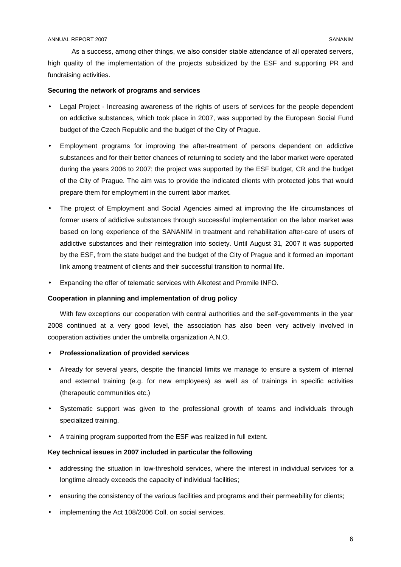As a success, among other things, we also consider stable attendance of all operated servers, high quality of the implementation of the projects subsidized by the ESF and supporting PR and fundraising activities.

# **Securing the network of programs and services**

- Legal Project Increasing awareness of the rights of users of services for the people dependent on addictive substances, which took place in 2007, was supported by the European Social Fund budget of the Czech Republic and the budget of the City of Prague.
- Employment programs for improving the after-treatment of persons dependent on addictive substances and for their better chances of returning to society and the labor market were operated during the years 2006 to 2007; the project was supported by the ESF budget, CR and the budget of the City of Prague. The aim was to provide the indicated clients with protected jobs that would prepare them for employment in the current labor market.
- The project of Employment and Social Agencies aimed at improving the life circumstances of former users of addictive substances through successful implementation on the labor market was based on long experience of the SANANIM in treatment and rehabilitation after-care of users of addictive substances and their reintegration into society. Until August 31, 2007 it was supported by the ESF, from the state budget and the budget of the City of Prague and it formed an important link among treatment of clients and their successful transition to normal life.
- Expanding the offer of telematic services with Alkotest and Promile INFO.

#### **Cooperation in planning and implementation of drug policy**

With few exceptions our cooperation with central authorities and the self-governments in the year 2008 continued at a very good level, the association has also been very actively involved in cooperation activities under the umbrella organization A.N.O.

- **Professionalization of provided services**
- Already for several years, despite the financial limits we manage to ensure a system of internal and external training (e.g. for new employees) as well as of trainings in specific activities (therapeutic communities etc.)
- Systematic support was given to the professional growth of teams and individuals through specialized training.
- A training program supported from the ESF was realized in full extent.

## **Key technical issues in 2007 included in particular the following**

- addressing the situation in low-threshold services, where the interest in individual services for a longtime already exceeds the capacity of individual facilities;
- ensuring the consistency of the various facilities and programs and their permeability for clients;
- implementing the Act 108/2006 Coll. on social services.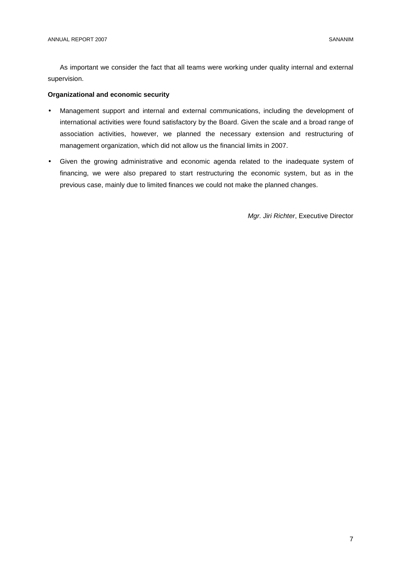As important we consider the fact that all teams were working under quality internal and external supervision.

# **Organizational and economic security**

- Management support and internal and external communications, including the development of international activities were found satisfactory by the Board. Given the scale and a broad range of association activities, however, we planned the necessary extension and restructuring of management organization, which did not allow us the financial limits in 2007.
- Given the growing administrative and economic agenda related to the inadequate system of financing, we were also prepared to start restructuring the economic system, but as in the previous case, mainly due to limited finances we could not make the planned changes.

Mgr. Jiri Richter, Executive Director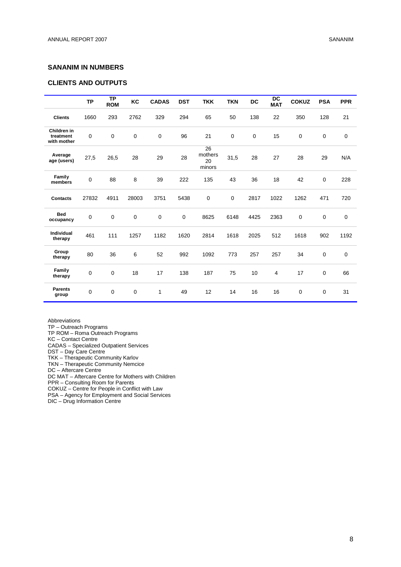# **SANANIM IN NUMBERS**

# **CLIENTS AND OUTPUTS**

|                                         | <b>TP</b>   | <b>TP</b><br><b>ROM</b> | KC          | <b>CADAS</b>     | <b>DST</b>  | <b>TKK</b>                    | <b>TKN</b> | <b>DC</b>   | DC<br><b>MAT</b> | <b>COKUZ</b>     | <b>PSA</b>  | <b>PPR</b>  |
|-----------------------------------------|-------------|-------------------------|-------------|------------------|-------------|-------------------------------|------------|-------------|------------------|------------------|-------------|-------------|
| <b>Clients</b>                          | 1660        | 293                     | 2762        | 329              | 294         | 65                            | 50         | 138         | 22               | 350              | 128         | 21          |
| Children in<br>treatment<br>with mother | $\mathbf 0$ | $\mathbf 0$             | $\mathbf 0$ | $\boldsymbol{0}$ | 96          | 21                            | 0          | $\mathbf 0$ | 15               | $\boldsymbol{0}$ | $\mathbf 0$ | 0           |
| Average<br>age (users)                  | 27,5        | 26,5                    | 28          | 29               | 28          | 26<br>mothers<br>20<br>minors | 31,5       | 28          | 27               | 28               | 29          | N/A         |
| Family<br>members                       | $\pmb{0}$   | 88                      | 8           | 39               | 222         | 135                           | 43         | 36          | 18               | 42               | $\mathbf 0$ | 228         |
| <b>Contacts</b>                         | 27832       | 4911                    | 28003       | 3751             | 5438        | 0                             | 0          | 2817        | 1022             | 1262             | 471         | 720         |
| <b>Bed</b><br>occupancy                 | $\mathbf 0$ | $\mathbf 0$             | $\mathbf 0$ | 0                | $\mathbf 0$ | 8625                          | 6148       | 4425        | 2363             | $\boldsymbol{0}$ | $\mathbf 0$ | 0           |
| Individual<br>therapy                   | 461         | 111                     | 1257        | 1182             | 1620        | 2814                          | 1618       | 2025        | 512              | 1618             | 902         | 1192        |
| Group<br>therapy                        | 80          | 36                      | 6           | 52               | 992         | 1092                          | 773        | 257         | 257              | 34               | $\mathbf 0$ | $\mathbf 0$ |
| Family<br>therapy                       | $\mathbf 0$ | 0                       | 18          | 17               | 138         | 187                           | 75         | 10          | $\overline{4}$   | 17               | $\mathbf 0$ | 66          |
| <b>Parents</b><br>group                 | $\mathsf 0$ | 0                       | 0           | 1                | 49          | 12                            | 14         | 16          | 16               | $\pmb{0}$        | 0           | 31          |

Abbreviations

TP – Outreach Programs

TP ROM – Roma Outreach Programs

KC – Contact Centre

CADAS – Specialized Outpatient Services

DST – Day Care Centre

TKK – Therapeutic Community Karlov

TKN – Therapeutic Community Nemcice

DC – Aftercare Centre

DC MAT – Aftercare Centre for Mothers with Children

PPR – Consulting Room for Parents

COKUZ – Centre for People in Conflict with Law

PSA – Agency for Employment and Social Services

DIC – Drug Information Centre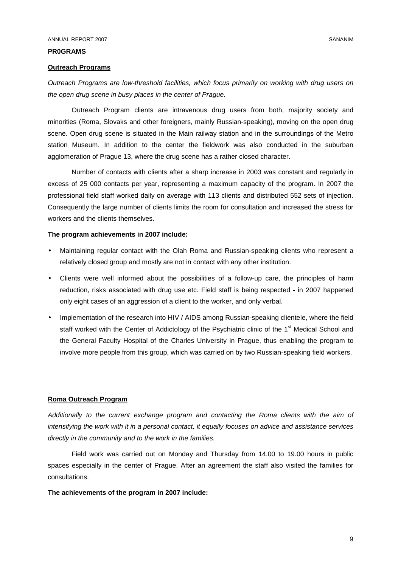#### **PR0GRAMS**

#### **Outreach Programs**

Outreach Programs are low-threshold facilities, which focus primarily on working with drug users on the open drug scene in busy places in the center of Prague.

Outreach Program clients are intravenous drug users from both, majority society and minorities (Roma, Slovaks and other foreigners, mainly Russian-speaking), moving on the open drug scene. Open drug scene is situated in the Main railway station and in the surroundings of the Metro station Museum. In addition to the center the fieldwork was also conducted in the suburban agglomeration of Prague 13, where the drug scene has a rather closed character.

Number of contacts with clients after a sharp increase in 2003 was constant and regularly in excess of 25 000 contacts per year, representing a maximum capacity of the program. In 2007 the professional field staff worked daily on average with 113 clients and distributed 552 sets of injection. Consequently the large number of clients limits the room for consultation and increased the stress for workers and the clients themselves.

#### **The program achievements in 2007 include:**

- Maintaining regular contact with the Olah Roma and Russian-speaking clients who represent a relatively closed group and mostly are not in contact with any other institution.
- Clients were well informed about the possibilities of a follow-up care, the principles of harm reduction, risks associated with drug use etc. Field staff is being respected - in 2007 happened only eight cases of an aggression of a client to the worker, and only verbal.
- Implementation of the research into HIV / AIDS among Russian-speaking clientele, where the field staff worked with the Center of Addictology of the Psychiatric clinic of the 1<sup>st</sup> Medical School and the General Faculty Hospital of the Charles University in Prague, thus enabling the program to involve more people from this group, which was carried on by two Russian-speaking field workers.

#### **Roma Outreach Program**

Additionally to the current exchange program and contacting the Roma clients with the aim of intensifying the work with it in a personal contact, it equally focuses on advice and assistance services directly in the community and to the work in the families.

Field work was carried out on Monday and Thursday from 14.00 to 19.00 hours in public spaces especially in the center of Prague. After an agreement the staff also visited the families for consultations.

# **The achievements of the program in 2007 include:**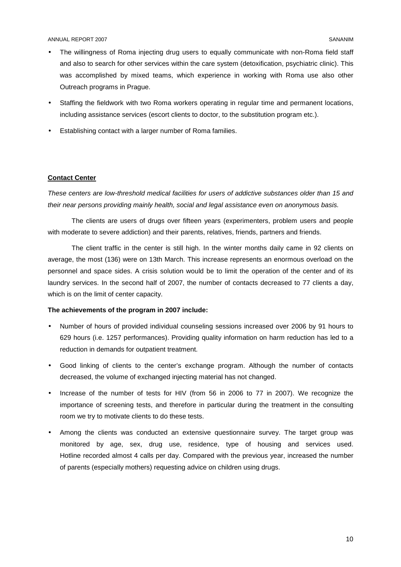- The willingness of Roma injecting drug users to equally communicate with non-Roma field staff and also to search for other services within the care system (detoxification, psychiatric clinic). This was accomplished by mixed teams, which experience in working with Roma use also other Outreach programs in Prague.
- Staffing the fieldwork with two Roma workers operating in regular time and permanent locations, including assistance services (escort clients to doctor, to the substitution program etc.).
- Establishing contact with a larger number of Roma families.

# **Contact Center**

These centers are low-threshold medical facilities for users of addictive substances older than 15 and their near persons providing mainly health, social and legal assistance even on anonymous basis.

The clients are users of drugs over fifteen years (experimenters, problem users and people with moderate to severe addiction) and their parents, relatives, friends, partners and friends.

The client traffic in the center is still high. In the winter months daily came in 92 clients on average, the most (136) were on 13th March. This increase represents an enormous overload on the personnel and space sides. A crisis solution would be to limit the operation of the center and of its laundry services. In the second half of 2007, the number of contacts decreased to 77 clients a day, which is on the limit of center capacity.

#### **The achievements of the program in 2007 include:**

- Number of hours of provided individual counseling sessions increased over 2006 by 91 hours to 629 hours (i.e. 1257 performances). Providing quality information on harm reduction has led to a reduction in demands for outpatient treatment.
- Good linking of clients to the center's exchange program. Although the number of contacts decreased, the volume of exchanged injecting material has not changed.
- Increase of the number of tests for HIV (from 56 in 2006 to 77 in 2007). We recognize the importance of screening tests, and therefore in particular during the treatment in the consulting room we try to motivate clients to do these tests.
- Among the clients was conducted an extensive questionnaire survey. The target group was monitored by age, sex, drug use, residence, type of housing and services used. Hotline recorded almost 4 calls per day. Compared with the previous year, increased the number of parents (especially mothers) requesting advice on children using drugs.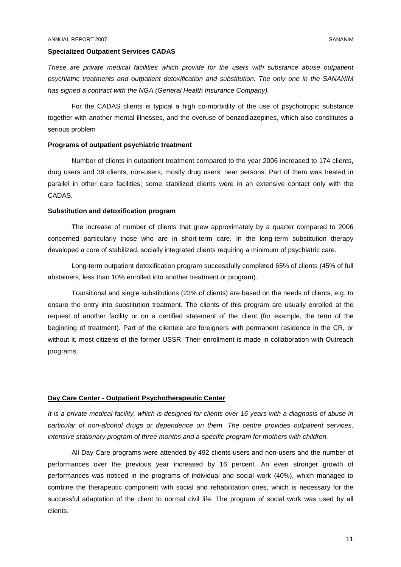#### **Specialized Outpatient Services CADAS**

These are private medical facilities which provide for the users with substance abuse outpatient psychiatric treatments and outpatient detoxification and substitution. The only one in the SANANIM has signed a contract with the NGA (General Health Insurance Company).

For the CADAS clients is typical a high co-morbidity of the use of psychotropic substance together with another mental illnesses, and the overuse of benzodiazepines, which also constitutes a serious problem

#### **Programs of outpatient psychiatric treatment**

Number of clients in outpatient treatment compared to the year 2006 increased to 174 clients, drug users and 39 clients, non-users, mostly drug users' near persons. Part of them was treated in parallel in other care facilities; some stabilized clients were in an extensive contact only with the CADAS.

#### **Substitution and detoxification program**

The increase of number of clients that grew approximately by a quarter compared to 2006 concerned particularly those who are in short-term care. In the long-term substitution therapy developed a core of stabilized, socially integrated clients requiring a minimum of psychiatric care.

Long-term outpatient detoxification program successfully completed 65% of clients (45% of full abstainers, less than 10% enrolled into another treatment or program).

Transitional and single substitutions (23% of clients) are based on the needs of clients, e.g. to ensure the entry into substitution treatment. The clients of this program are usually enrolled at the request of another facility or on a certified statement of the client (for example, the term of the beginning of treatment). Part of the clientele are foreigners with permanent residence in the CR, or without it, most citizens of the former USSR. Their enrollment is made in collaboration with Outreach programs.

#### **Day Care Center - Outpatient Psychotherapeutic Center**

It is a private medical facility, which is designed for clients over 16 years with a diagnosis of abuse in particular of non-alcohol drugs or dependence on them. The centre provides outpatient services, intensive stationary program of three months and a specific program for mothers with children.

All Day Care programs were attended by 492 clients-users and non-users and the number of performances over the previous year increased by 16 percent. An even stronger growth of performances was noticed in the programs of individual and social work (40%), which managed to combine the therapeutic component with social and rehabilitation ones, which is necessary for the successful adaptation of the client to normal civil life. The program of social work was used by all clients.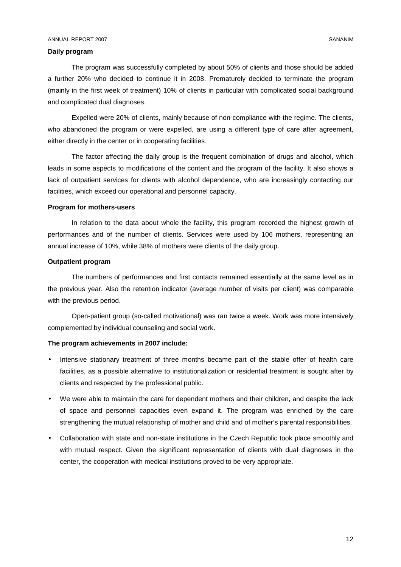#### **Daily program**

The program was successfully completed by about 50% of clients and those should be added a further 20% who decided to continue it in 2008. Prematurely decided to terminate the program (mainly in the first week of treatment) 10% of clients in particular with complicated social background and complicated dual diagnoses.

Expelled were 20% of clients, mainly because of non-compliance with the regime. The clients, who abandoned the program or were expelled, are using a different type of care after agreement, either directly in the center or in cooperating facilities.

The factor affecting the daily group is the frequent combination of drugs and alcohol, which leads in some aspects to modifications of the content and the program of the facility. It also shows a lack of outpatient services for clients with alcohol dependence, who are increasingly contacting our facilities, which exceed our operational and personnel capacity.

#### **Program for mothers-users**

In relation to the data about whole the facility, this program recorded the highest growth of performances and of the number of clients. Services were used by 106 mothers, representing an annual increase of 10%, while 38% of mothers were clients of the daily group.

#### **Outpatient program**

The numbers of performances and first contacts remained essentially at the same level as in the previous year. Also the retention indicator (average number of visits per client) was comparable with the previous period.

Open-patient group (so-called motivational) was ran twice a week. Work was more intensively complemented by individual counseling and social work.

#### **The program achievements in 2007 include:**

- Intensive stationary treatment of three months became part of the stable offer of health care facilities, as a possible alternative to institutionalization or residential treatment is sought after by clients and respected by the professional public.
- We were able to maintain the care for dependent mothers and their children, and despite the lack of space and personnel capacities even expand it. The program was enriched by the care strengthening the mutual relationship of mother and child and of mother's parental responsibilities.
- Collaboration with state and non-state institutions in the Czech Republic took place smoothly and with mutual respect. Given the significant representation of clients with dual diagnoses in the center, the cooperation with medical institutions proved to be very appropriate.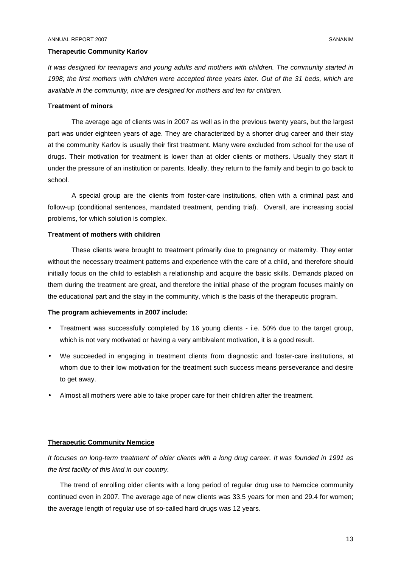#### **Therapeutic Community Karlov**

It was designed for teenagers and young adults and mothers with children. The community started in 1998; the first mothers with children were accepted three years later. Out of the 31 beds, which are available in the community, nine are designed for mothers and ten for children.

#### **Treatment of minors**

The average age of clients was in 2007 as well as in the previous twenty years, but the largest part was under eighteen years of age. They are characterized by a shorter drug career and their stay at the community Karlov is usually their first treatment. Many were excluded from school for the use of drugs. Their motivation for treatment is lower than at older clients or mothers. Usually they start it under the pressure of an institution or parents. Ideally, they return to the family and begin to go back to school.

A special group are the clients from foster-care institutions, often with a criminal past and follow-up (conditional sentences, mandated treatment, pending trial). Overall, are increasing social problems, for which solution is complex.

## **Treatment of mothers with children**

These clients were brought to treatment primarily due to pregnancy or maternity. They enter without the necessary treatment patterns and experience with the care of a child, and therefore should initially focus on the child to establish a relationship and acquire the basic skills. Demands placed on them during the treatment are great, and therefore the initial phase of the program focuses mainly on the educational part and the stay in the community, which is the basis of the therapeutic program.

#### **The program achievements in 2007 include:**

- Treatment was successfully completed by 16 young clients i.e. 50% due to the target group, which is not very motivated or having a very ambivalent motivation, it is a good result.
- We succeeded in engaging in treatment clients from diagnostic and foster-care institutions, at whom due to their low motivation for the treatment such success means perseverance and desire to get away.
- Almost all mothers were able to take proper care for their children after the treatment.

#### **Therapeutic Community Nemcice**

It focuses on long-term treatment of older clients with a long drug career. It was founded in 1991 as the first facility of this kind in our country.

The trend of enrolling older clients with a long period of regular drug use to Nemcice community continued even in 2007. The average age of new clients was 33.5 years for men and 29.4 for women; the average length of regular use of so-called hard drugs was 12 years.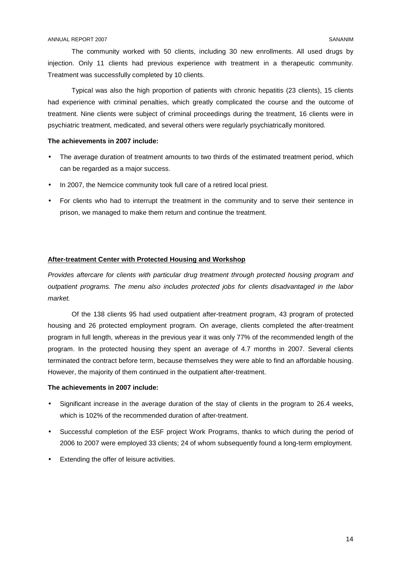The community worked with 50 clients, including 30 new enrollments. All used drugs by injection. Only 11 clients had previous experience with treatment in a therapeutic community. Treatment was successfully completed by 10 clients.

Typical was also the high proportion of patients with chronic hepatitis (23 clients), 15 clients had experience with criminal penalties, which greatly complicated the course and the outcome of treatment. Nine clients were subject of criminal proceedings during the treatment, 16 clients were in psychiatric treatment, medicated, and several others were regularly psychiatrically monitored.

# **The achievements in 2007 include:**

- The average duration of treatment amounts to two thirds of the estimated treatment period, which can be regarded as a major success.
- In 2007, the Nemcice community took full care of a retired local priest.
- For clients who had to interrupt the treatment in the community and to serve their sentence in prison, we managed to make them return and continue the treatment.

# **After-treatment Center with Protected Housing and Workshop**

Provides aftercare for clients with particular drug treatment through protected housing program and outpatient programs. The menu also includes protected jobs for clients disadvantaged in the labor market.

Of the 138 clients 95 had used outpatient after-treatment program, 43 program of protected housing and 26 protected employment program. On average, clients completed the after-treatment program in full length, whereas in the previous year it was only 77% of the recommended length of the program. In the protected housing they spent an average of 4.7 months in 2007. Several clients terminated the contract before term, because themselves they were able to find an affordable housing. However, the majority of them continued in the outpatient after-treatment.

# **The achievements in 2007 include:**

- Significant increase in the average duration of the stay of clients in the program to 26.4 weeks, which is 102% of the recommended duration of after-treatment.
- Successful completion of the ESF project Work Programs, thanks to which during the period of 2006 to 2007 were employed 33 clients; 24 of whom subsequently found a long-term employment.
- Extending the offer of leisure activities.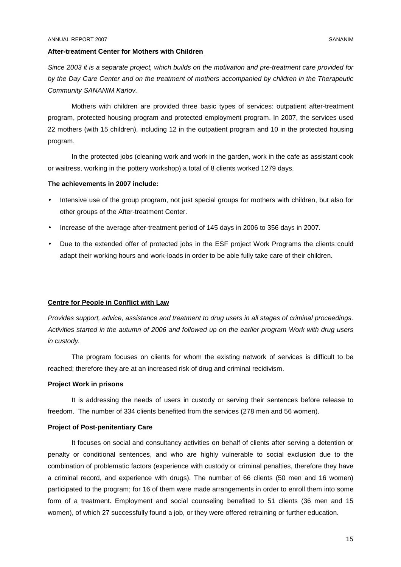#### **After-treatment Center for Mothers with Children**

Since 2003 it is a separate project, which builds on the motivation and pre-treatment care provided for by the Day Care Center and on the treatment of mothers accompanied by children in the Therapeutic Community SANANIM Karlov.

Mothers with children are provided three basic types of services: outpatient after-treatment program, protected housing program and protected employment program. In 2007, the services used 22 mothers (with 15 children), including 12 in the outpatient program and 10 in the protected housing program.

In the protected jobs (cleaning work and work in the garden, work in the cafe as assistant cook or waitress, working in the pottery workshop) a total of 8 clients worked 1279 days.

#### **The achievements in 2007 include:**

- Intensive use of the group program, not just special groups for mothers with children, but also for other groups of the After-treatment Center.
- Increase of the average after-treatment period of 145 days in 2006 to 356 days in 2007.
- Due to the extended offer of protected jobs in the ESF project Work Programs the clients could adapt their working hours and work-loads in order to be able fully take care of their children.

#### **Centre for People in Conflict with Law**

Provides support, advice, assistance and treatment to drug users in all stages of criminal proceedings. Activities started in the autumn of 2006 and followed up on the earlier program Work with drug users in custody.

The program focuses on clients for whom the existing network of services is difficult to be reached; therefore they are at an increased risk of drug and criminal recidivism.

#### **Project Work in prisons**

It is addressing the needs of users in custody or serving their sentences before release to freedom. The number of 334 clients benefited from the services (278 men and 56 women).

#### **Project of Post-penitentiary Care**

It focuses on social and consultancy activities on behalf of clients after serving a detention or penalty or conditional sentences, and who are highly vulnerable to social exclusion due to the combination of problematic factors (experience with custody or criminal penalties, therefore they have a criminal record, and experience with drugs). The number of 66 clients (50 men and 16 women) participated to the program; for 16 of them were made arrangements in order to enroll them into some form of a treatment. Employment and social counseling benefited to 51 clients (36 men and 15 women), of which 27 successfully found a job, or they were offered retraining or further education.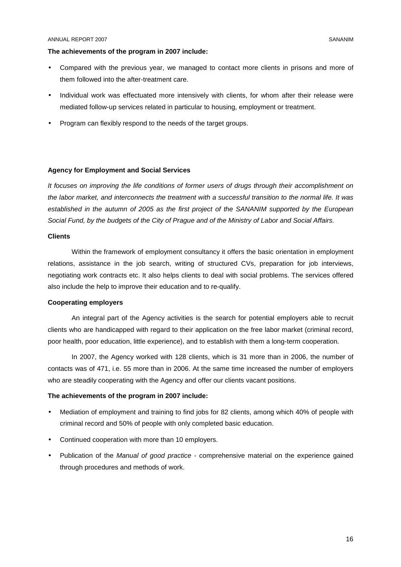#### **The achievements of the program in 2007 include:**

- Compared with the previous year, we managed to contact more clients in prisons and more of them followed into the after-treatment care.
- Individual work was effectuated more intensively with clients, for whom after their release were mediated follow-up services related in particular to housing, employment or treatment.
- Program can flexibly respond to the needs of the target groups.

#### **Agency for Employment and Social Services**

It focuses on improving the life conditions of former users of drugs through their accomplishment on the labor market, and interconnects the treatment with a successful transition to the normal life. It was established in the autumn of 2005 as the first project of the SANANIM supported by the European Social Fund, by the budgets of the City of Prague and of the Ministry of Labor and Social Affairs.

#### **Clients**

Within the framework of employment consultancy it offers the basic orientation in employment relations, assistance in the job search, writing of structured CVs, preparation for job interviews, negotiating work contracts etc. It also helps clients to deal with social problems. The services offered also include the help to improve their education and to re-qualify.

#### **Cooperating employers**

An integral part of the Agency activities is the search for potential employers able to recruit clients who are handicapped with regard to their application on the free labor market (criminal record, poor health, poor education, little experience), and to establish with them a long-term cooperation.

In 2007, the Agency worked with 128 clients, which is 31 more than in 2006, the number of contacts was of 471, i.e. 55 more than in 2006. At the same time increased the number of employers who are steadily cooperating with the Agency and offer our clients vacant positions.

#### **The achievements of the program in 2007 include:**

- Mediation of employment and training to find jobs for 82 clients, among which 40% of people with criminal record and 50% of people with only completed basic education.
- Continued cooperation with more than 10 employers.
- Publication of the *Manual of good practice -* comprehensive material on the experience gained through procedures and methods of work.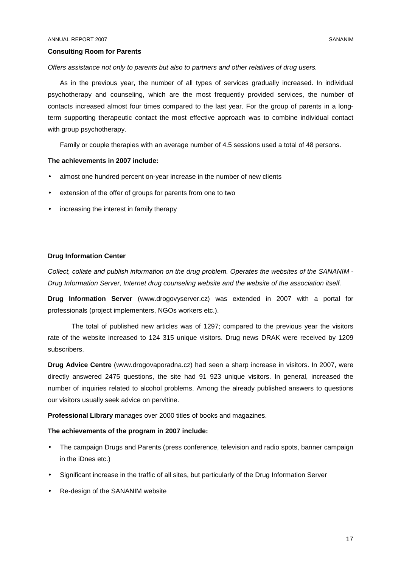#### **Consulting Room for Parents**

Offers assistance not only to parents but also to partners and other relatives of drug users.

As in the previous year, the number of all types of services gradually increased. In individual psychotherapy and counseling, which are the most frequently provided services, the number of contacts increased almost four times compared to the last year. For the group of parents in a longterm supporting therapeutic contact the most effective approach was to combine individual contact with group psychotherapy.

Family or couple therapies with an average number of 4.5 sessions used a total of 48 persons.

#### **The achievements in 2007 include:**

- almost one hundred percent on-year increase in the number of new clients
- extension of the offer of groups for parents from one to two
- increasing the interest in family therapy

#### **Drug Information Center**

Collect, collate and publish information on the drug problem. Operates the websites of the SANANIM - Drug Information Server, Internet drug counseling website and the website of the association itself.

**Drug Information Server** (www.drogovyserver.cz) was extended in 2007 with a portal for professionals (project implementers, NGOs workers etc.).

The total of published new articles was of 1297; compared to the previous year the visitors rate of the website increased to 124 315 unique visitors. Drug news DRAK were received by 1209 subscribers.

**Drug Advice Centre** (www.drogovaporadna.cz) had seen a sharp increase in visitors. In 2007, were directly answered 2475 questions, the site had 91 923 unique visitors. In general, increased the number of inquiries related to alcohol problems. Among the already published answers to questions our visitors usually seek advice on pervitine.

**Professional Library** manages over 2000 titles of books and magazines.

# **The achievements of the program in 2007 include:**

- The campaign Drugs and Parents (press conference, television and radio spots, banner campaign in the iDnes etc.)
- Significant increase in the traffic of all sites, but particularly of the Drug Information Server
- Re-design of the SANANIM website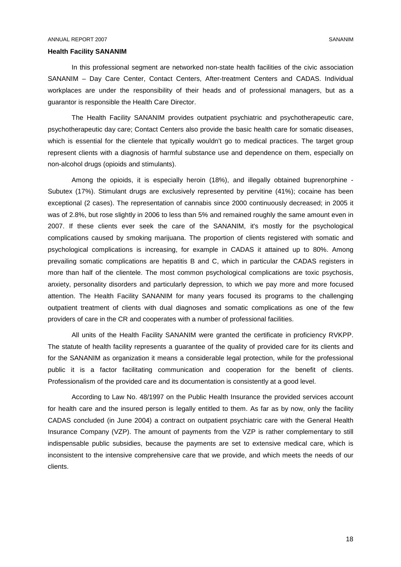#### **Health Facility SANANIM**

In this professional segment are networked non-state health facilities of the civic association SANANIM – Day Care Center, Contact Centers, After-treatment Centers and CADAS. Individual workplaces are under the responsibility of their heads and of professional managers, but as a guarantor is responsible the Health Care Director.

The Health Facility SANANIM provides outpatient psychiatric and psychotherapeutic care, psychotherapeutic day care; Contact Centers also provide the basic health care for somatic diseases, which is essential for the clientele that typically wouldn't go to medical practices. The target group represent clients with a diagnosis of harmful substance use and dependence on them, especially on non-alcohol drugs (opioids and stimulants).

Among the opioids, it is especially heroin (18%), and illegally obtained buprenorphine - Subutex (17%). Stimulant drugs are exclusively represented by pervitine (41%); cocaine has been exceptional (2 cases). The representation of cannabis since 2000 continuously decreased; in 2005 it was of 2.8%, but rose slightly in 2006 to less than 5% and remained roughly the same amount even in 2007. If these clients ever seek the care of the SANANIM, it's mostly for the psychological complications caused by smoking marijuana. The proportion of clients registered with somatic and psychological complications is increasing, for example in CADAS it attained up to 80%. Among prevailing somatic complications are hepatitis B and C, which in particular the CADAS registers in more than half of the clientele. The most common psychological complications are toxic psychosis, anxiety, personality disorders and particularly depression, to which we pay more and more focused attention. The Health Facility SANANIM for many years focused its programs to the challenging outpatient treatment of clients with dual diagnoses and somatic complications as one of the few providers of care in the CR and cooperates with a number of professional facilities.

All units of the Health Facility SANANIM were granted the certificate in proficiency RVKPP. The statute of health facility represents a guarantee of the quality of provided care for its clients and for the SANANIM as organization it means a considerable legal protection, while for the professional public it is a factor facilitating communication and cooperation for the benefit of clients. Professionalism of the provided care and its documentation is consistently at a good level.

According to Law No. 48/1997 on the Public Health Insurance the provided services account for health care and the insured person is legally entitled to them. As far as by now, only the facility CADAS concluded (in June 2004) a contract on outpatient psychiatric care with the General Health Insurance Company (VZP). The amount of payments from the VZP is rather complementary to still indispensable public subsidies, because the payments are set to extensive medical care, which is inconsistent to the intensive comprehensive care that we provide, and which meets the needs of our clients.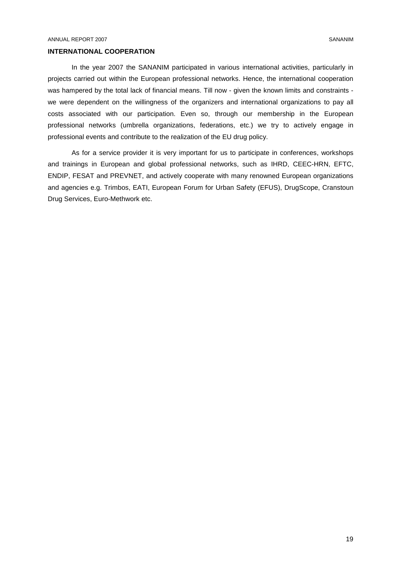### **INTERNATIONAL COOPERATION**

In the year 2007 the SANANIM participated in various international activities, particularly in projects carried out within the European professional networks. Hence, the international cooperation was hampered by the total lack of financial means. Till now - given the known limits and constraints we were dependent on the willingness of the organizers and international organizations to pay all costs associated with our participation. Even so, through our membership in the European professional networks (umbrella organizations, federations, etc.) we try to actively engage in professional events and contribute to the realization of the EU drug policy.

As for a service provider it is very important for us to participate in conferences, workshops and trainings in European and global professional networks, such as IHRD, CEEC-HRN, EFTC, ENDIP, FESAT and PREVNET, and actively cooperate with many renowned European organizations and agencies e.g. Trimbos, EATI, European Forum for Urban Safety (EFUS), DrugScope, Cranstoun Drug Services, Euro-Methwork etc.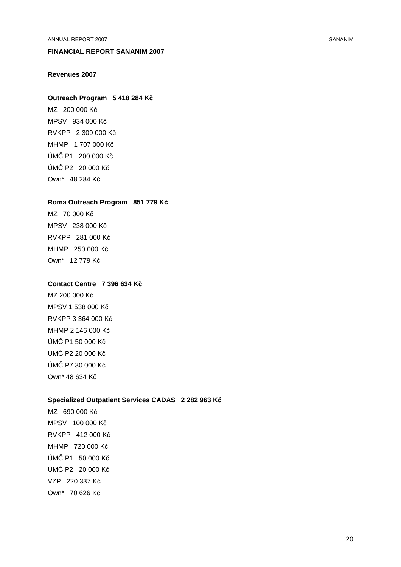ANNUAL REPORT 2007 SANANIM

# **FINANCIAL REPORT SANANIM 2007**

# **Revenues 2007**

#### **Outreach Program 5 418 284 Kč**

MZ 200 000 Kč MPSV 934 000 Kč RVKPP 2 309 000 Kč MHMP 1 707 000 Kč ÚMČ P1 200 000 Kč ÚMČ P2 20 000 Kč Own\* 48 284 Kč

#### **Roma Outreach Program 851 779 Kč**

MZ 70 000 Kč MPSV 238 000 Kč RVKPP 281 000 Kč MHMP 250 000 Kč Own\* 12 779 Kč

## **Contact Centre 7 396 634 Kč**

MZ 200 000 Kč MPSV 1 538 000 Kč RVKPP 3 364 000 Kč MHMP 2 146 000 Kč ÚMČ P1 50 000 Kč ÚMČ P2 20 000 Kč ÚMČ P7 30 000 Kč Own\* 48 634 Kč

#### **Specialized Outpatient Services CADAS 2 282 963 Kč**

MZ 690 000 Kč MPSV 100 000 Kč RVKPP 412 000 Kč MHMP 720 000 Kč ÚMČ P1 50 000 Kč ÚMČ P2 20 000 Kč VZP 220 337 Kč Own\* 70 626 Kč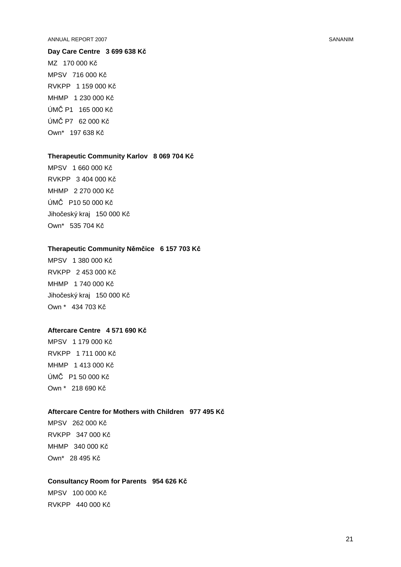#### ANNUAL REPORT 2007 SANANIM

# **Day Care Centre 3 699 638 Kč** MZ 170 000 Kč MPSV 716 000 Kč RVKPP 1 159 000 Kč

MHMP 1 230 000 Kč ÚMČ P1 165 000 Kč ÚMČ P7 62 000 Kč Own\* 197 638 Kč

#### **Therapeutic Community Karlov 8 069 704 Kč**

MPSV 1 660 000 Kč RVKPP 3 404 000 Kč MHMP 2 270 000 Kč ÚMČ P10 50 000 Kč Jihočeský kraj 150 000 Kč Own\* 535 704 Kč

#### **Therapeutic Community Němčice 6 157 703 Kč**

MPSV 1 380 000 Kč RVKPP 2 453 000 Kč MHMP 1 740 000 Kč Jihočeský kraj 150 000 Kč Own \* 434 703 Kč

#### **Aftercare Centre 4 571 690 Kč**

MPSV 1 179 000 Kč RVKPP 1 711 000 Kč MHMP 1 413 000 Kč ÚMČ P1 50 000 Kč Own \* 218 690 Kč

# **Aftercare Centre for Mothers with Children 977 495 Kč**

MPSV 262 000 Kč RVKPP 347 000 Kč MHMP 340 000 Kč Own\* 28 495 Kč

# **Consultancy Room for Parents 954 626 Kč**

MPSV 100 000 Kč RVKPP 440 000 Kč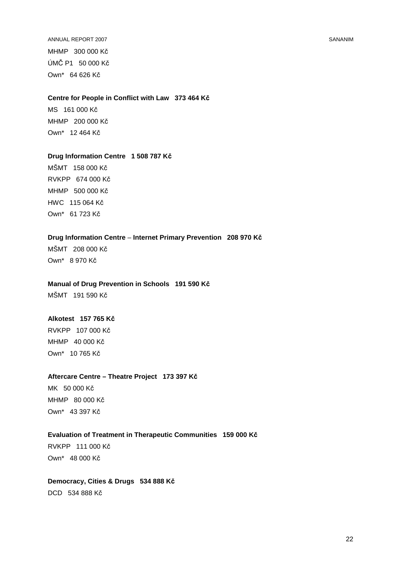ANNUAL REPORT 2007 SANANIM MHMP 300 000 Kč ÚMČ P1 50 000 Kč Own\* 64 626 Kč

#### **Centre for People in Conflict with Law 373 464 Kč**

MS 161 000 Kč MHMP 200 000 Kč Own\* 12 464 Kč

#### **Drug Information Centre 1 508 787 Kč**

MŠMT 158 000 Kč RVKPP 674 000 Kč MHMP 500 000 Kč HWC 115 064 Kč Own\* 61 723 Kč

# **Drug Information Centre** – **Internet Primary Prevention 208 970 Kč**

MŠMT 208 000 Kč Own\* 8 970 Kč

## **Manual of Drug Prevention in Schools 191 590 Kč**

MŠMT 191 590 Kč

# **Alkotest 157 765 Kč**

RVKPP 107 000 Kč MHMP 40 000 Kč Own\* 10 765 Kč

# **Aftercare Centre – Theatre Project 173 397 Kč**

MK 50 000 Kč MHMP 80 000 Kč Own\* 43 397 Kč

# **Evaluation of Treatment in Therapeutic Communities 159 000 Kč**

RVKPP 111 000 Kč Own\* 48 000 Kč

# **Democracy, Cities & Drugs 534 888 Kč** DCD 534 888 Kč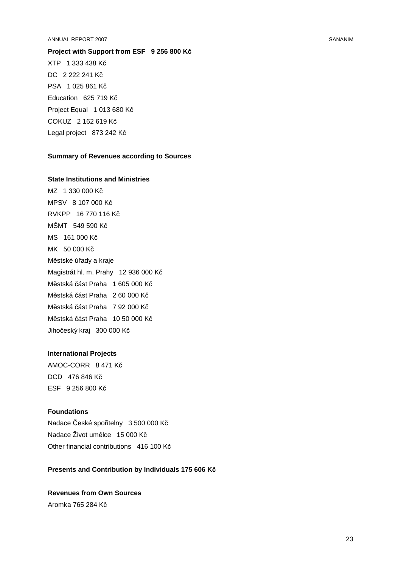#### ANNUAL REPORT 2007 SANANIM

**Project with Support from ESF 9 256 800 Kč** XTP 1 333 438 Kč DC 2 222 241 Kč PSA 1 025 861 Kč Education 625 719 Kč Project Equal 1 013 680 Kč COKUZ 2 162 619 Kč Legal project 873 242 Kč

#### **Summary of Revenues according to Sources**

#### **State Institutions and Ministries**

MZ 1 330 000 Kč MPSV 8 107 000 Kč RVKPP 16 770 116 Kč MŠMT 549 590 Kč MS 161 000 Kč MK 50 000 Kč Městské úřady a kraje Magistrát hl. m. Prahy 12 936 000 Kč Městská část Praha 1 605 000 Kč Městská část Praha 2 60 000 Kč Městská část Praha 7 92 000 Kč Městská část Praha 10 50 000 Kč Jihočeský kraj 300 000 Kč

#### **International Projects**

AMOC-CORR 8 471 Kč DCD 476 846 Kč ESF 9 256 800 Kč

# **Foundations**

Nadace České spořitelny 3 500 000 Kč Nadace Život umělce 15 000 Kč Other financial contributions 416 100 Kč

# **Presents and Contribution by Individuals 175 606 Kč**

**Revenues from Own Sources**  Aromka 765 284 Kč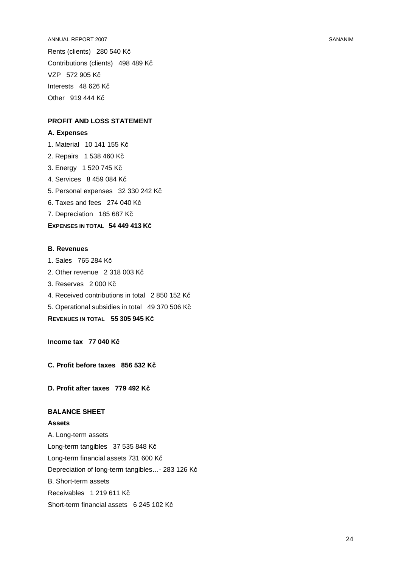ANNUAL REPORT 2007 SANANIM

Rents (clients) 280 540 Kč Contributions (clients) 498 489 Kč VZP 572 905 Kč Interests 48 626 Kč Other 919 444 Kč

# **PROFIT AND LOSS STATEMENT**

#### **A. Expenses**

1. Material 10 141 155 Kč

- 2. Repairs 1 538 460 Kč
- 3. Energy 1 520 745 Kč
- 4. Services 8 459 084 Kč
- 5. Personal expenses 32 330 242 Kč
- 6. Taxes and fees 274 040 Kč
- 7. Depreciation 185 687 Kč

# **EXPENSES IN TOTAL 54 449 413 KČ**

# **B. Revenues**

- 1. Sales 765 284 Kč
- 2. Other revenue 2 318 003 Kč
- 3. Reserves 2 000 Kč
- 4. Received contributions in total 2 850 152 Kč
- 5. Operational subsidies in total 49 370 506 Kč

**REVENUES IN TOTAL 55 305 945 KČ**

**Income tax 77 040 Kč**

**C. Profit before taxes 856 532 Kč**

**D. Profit after taxes 779 492 Kč**

# **BALANCE SHEET**

**Assets** 

A. Long-term assets Long-term tangibles 37 535 848 Kč Long-term financial assets 731 600 Kč Depreciation of long-term tangibles…- 283 126 Kč B. Short-term assets Receivables 1 219 611 Kč Short-term financial assets 6 245 102 Kč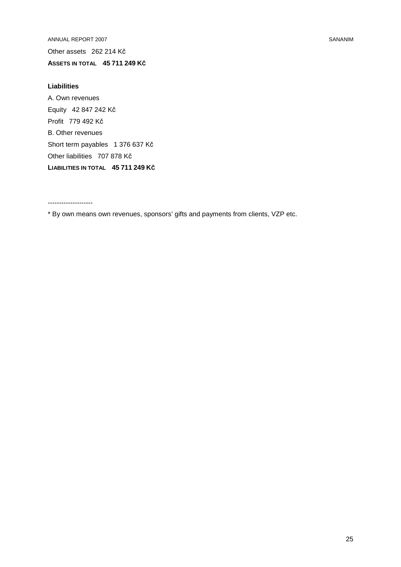ANNUAL REPORT 2007 SANANIM Other assets 262 214 Kč **ASSETS IN TOTAL 45 711 249 KČ**

# **Liabilities**

A. Own revenues Equity 42 847 242 Kč Profit 779 492 Kč B. Other revenues Short term payables 1 376 637 Kč Other liabilities 707 878 Kč **LIABILITIES IN TOTAL 45 711 249 KČ**

--------------------

\* By own means own revenues, sponsors' gifts and payments from clients, VZP etc.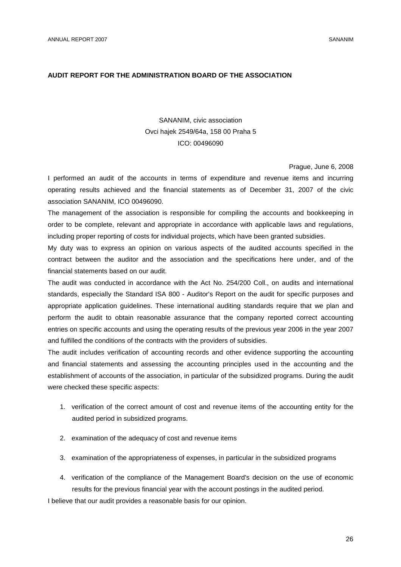#### **AUDIT REPORT FOR THE ADMINISTRATION BOARD OF THE ASSOCIATION**

# SANANIM, civic association Ovci hajek 2549/64a, 158 00 Praha 5 ICO: 00496090

Prague, June 6, 2008

I performed an audit of the accounts in terms of expenditure and revenue items and incurring operating results achieved and the financial statements as of December 31, 2007 of the civic association SANANIM, ICO 00496090.

The management of the association is responsible for compiling the accounts and bookkeeping in order to be complete, relevant and appropriate in accordance with applicable laws and regulations, including proper reporting of costs for individual projects, which have been granted subsidies.

My duty was to express an opinion on various aspects of the audited accounts specified in the contract between the auditor and the association and the specifications here under, and of the financial statements based on our audit.

The audit was conducted in accordance with the Act No. 254/200 Coll., on audits and international standards, especially the Standard ISA 800 - Auditor's Report on the audit for specific purposes and appropriate application guidelines. These international auditing standards require that we plan and perform the audit to obtain reasonable assurance that the company reported correct accounting entries on specific accounts and using the operating results of the previous year 2006 in the year 2007 and fulfilled the conditions of the contracts with the providers of subsidies.

The audit includes verification of accounting records and other evidence supporting the accounting and financial statements and assessing the accounting principles used in the accounting and the establishment of accounts of the association, in particular of the subsidized programs. During the audit were checked these specific aspects:

- 1. verification of the correct amount of cost and revenue items of the accounting entity for the audited period in subsidized programs.
- 2. examination of the adequacy of cost and revenue items
- 3. examination of the appropriateness of expenses, in particular in the subsidized programs
- 4. verification of the compliance of the Management Board's decision on the use of economic results for the previous financial year with the account postings in the audited period.

I believe that our audit provides a reasonable basis for our opinion.